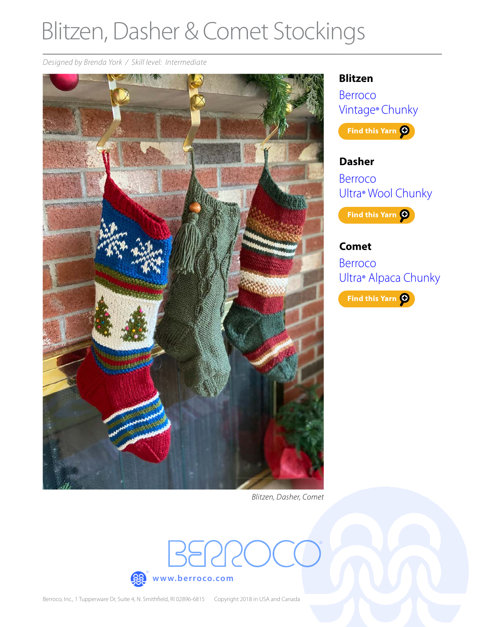# Blitzen, Dasher & Comet Stockings

*Designed by Brenda York / Skill level: Intermediate* 



**Blitzen**

[Berroco](https://www.berroco.com/yarns/vintage-chunky)  Vintage® [Chunky](https://www.berroco.com/yarns/vintage-chunky)



# **Dasher**

[Berroco](https://www.berroco.com/yarns/berroco-ultra-wool-chunky)  Ultra® [Wool Chunky](https://www.berroco.com/yarns/berroco-ultra-wool-chunky)



# **Comet**[Berroco](https://www.berroco.com/yarns/berroco-ultra-alpaca-chunky)  Ultra® [Alpaca Chunky](https://www.berroco.com/yarns/berroco-ultra-alpaca-chunky) Find this Yarn 0

*Blitzen, Dasher, Comet*

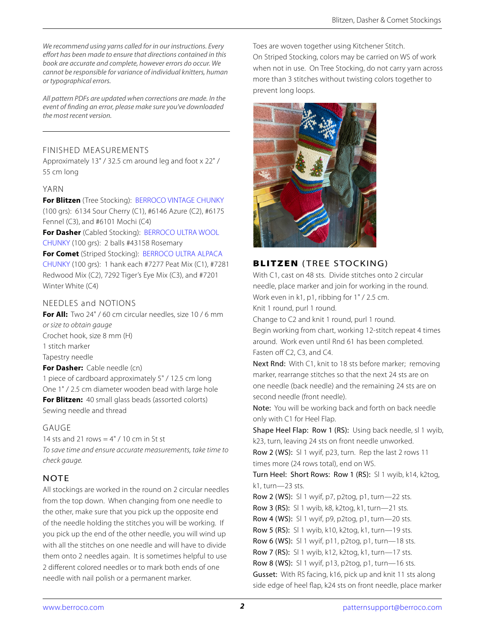*We recommend using yarns called for in our instructions. Every effort has been made to ensure that directions contained in this book are accurate and complete, however errors do occur. We cannot be responsible for variance of individual knitters, human or typographical errors.*

*All pattern PDFs are updated when corrections are made. In the event of nding an error, please make sure you've downloaded the most recent version.*

#### FINISHED MEASUREMENTS

Approximately 13" / 32.5 cm around leg and foot x 22" / 55 cm long

#### YARN

**For Blitzen** (Tree Stocking): [BERROCO VINTAGE CHUNKY](https://www.berroco.com/yarns/vintage-chunky) (100 grs): 6134 Sour Cherry (C1), #6146 Azure (C2), #6175 Fennel (C3), and #6101 Mochi (C4)

**For Dasher** (Cabled Stocking): BERROCO ULTRA WOOL [CHUNKY](https://www.berroco.com/yarns/berroco-ultra-wool-chunky) (100 grs): 2 balls #43158 Rosemary

**For Comet** (Striped Stocking): [BERROCO ULTRA ALPACA](https://www.berroco.com/yarns/berroco-ultra-alpaca-chunky)  [CHUNKY](https://www.berroco.com/yarns/berroco-ultra-alpaca-chunky) (100 grs): 1 hank each #7277 Peat Mix (C1), #7281 Redwood Mix (C2), 7292 Tiger's Eye Mix (C3), and #7201 Winter White (C4)

#### NEEDLES and NOTIONS

For All: Two 24" / 60 cm circular needles, size 10 / 6 mm *or size to obtain gauge* Crochet hook, size 8 mm (H) 1 stitch marker Tapestry needle **For Dasher:** Cable needle (cn) 1 piece of cardboard approximately 5" / 12.5 cm long One 1" / 2.5 cm diameter wooden bead with large hole **For Blitzen:** 40 small glass beads (assorted colorts) Sewing needle and thread

#### GAUGE

14 sts and 21 rows  $= 4" / 10$  cm in St st *To save time and ensure accurate measurements, take time to check gauge.*

#### **NOTE**

All stockings are worked in the round on 2 circular needles from the top down. When changing from one needle to the other, make sure that you pick up the opposite end of the needle holding the stitches you will be working. If you pick up the end of the other needle, you will wind up with all the stitches on one needle and will have to divide them onto 2 needles again. It is sometimes helpful to use 2 different colored needles or to mark both ends of one needle with nail polish or a permanent marker.

Toes are woven together using Kitchener Stitch. On Striped Stocking, colors may be carried on WS of work when not in use. On Tree Stocking, do not carry yarn across more than 3 stitches without twisting colors together to prevent long loops.



### BLITZEN (TREE STOCKING)

With C1, cast on 48 sts. Divide stitches onto 2 circular needle, place marker and join for working in the round. Work even in k1, p1, ribbing for 1" / 2.5 cm.

Knit 1 round, purl 1 round.

Change to C2 and knit 1 round, purl 1 round. Begin working from chart, working 12-stitch repeat 4 times around. Work even until Rnd 61 has been completed. Fasten off C2, C3, and C4.

Next Rnd: With C1, knit to 18 sts before marker; removing marker, rearrange stitches so that the next 24 sts are on one needle (back needle) and the remaining 24 sts are on second needle (front needle).

Note: You will be working back and forth on back needle only with C1 for Heel Flap.

Shape Heel Flap: Row 1 (RS): Using back needle, sl 1 wyib, k23, turn, leaving 24 sts on front needle unworked. Row 2 (WS): Sl 1 wyif, p23, turn. Rep the last 2 rows 11 times more (24 rows total), end on WS.

Turn Heel: Short Rows: Row 1 (RS): Sl 1 wyib, k14, k2tog, k1, turn—23 sts.

Row 2 (WS): Sl 1 wyif, p7, p2tog, p1, turn—22 sts. Row 3 (RS): Sl 1 wyib, k8, k2tog, k1, turn—21 sts. Row 4 (WS): Sl 1 wyif, p9, p2tog, p1, turn—20 sts. Row 5 (RS): Sl 1 wyib, k10, k2tog, k1, turn—19 sts. Row 6 (WS): Sl 1 wyif, p11, p2tog, p1, turn—18 sts. Row 7 (RS): Sl 1 wyib, k12, k2tog, k1, turn—17 sts. Row 8 (WS): Sl 1 wyif, p13, p2tog, p1, turn—16 sts. Gusset: With RS facing, k16, pick up and knit 11 sts along side edge of heel flap, k24 sts on front needle, place marker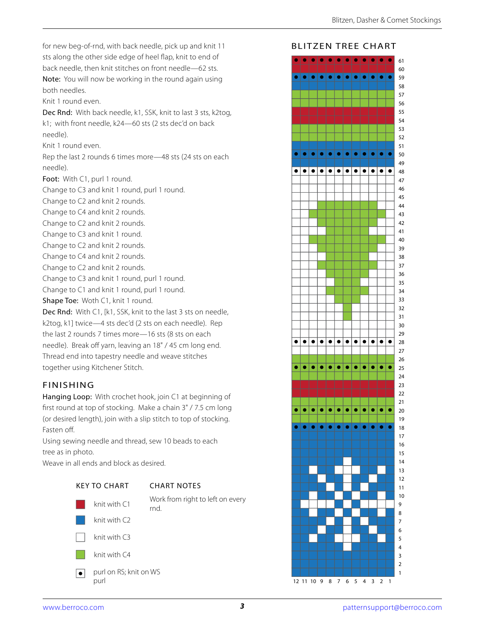for new beg-of-rnd, with back needle, pick up and knit 11 sts along the other side edge of heel flap, knit to end of back needle, then knit stitches on front needle—62 sts. Note: You will now be working in the round again using both needles.

Knit 1 round even.

Dec Rnd: With back needle, k1, SSK, knit to last 3 sts, k2tog, k1; with front needle, k24—60 sts (2 sts dec'd on back needle).

Knit 1 round even.

Rep the last 2 rounds 6 times more—48 sts (24 sts on each needle).

Foot: With C1, purl 1 round.

Change to C3 and knit 1 round, purl 1 round. rnd.

Change to C2 and knit 2 rounds.

Change to C4 and knit 2 rounds.

Change to C2 and knit 2 rounds.

Change to C3 and knit 1 round.

Change to C2 and knit 2 rounds.

Change to C4 and knit 2 rounds.

Change to C2 and knit 2 rounds.

Change to C3 and knit 1 round, purl 1 round.

Change to C1 and knit 1 round, purl 1 round.

Shape Toe: Woth C1, knit 1 round.

Dec Rnd: With C1, [k1, SSK, knit to the last 3 sts on needle, k2tog, k1] twice—4 sts dec'd (2 sts on each needle). Rep the last 2 rounds 7 times more—16 sts (8 sts on each needle). Break off yarn, leaving an 18" / 45 cm long end. Thread end into tapestry needle and weave stitches together using Kitchener Stitch.

#### FINISHING

**Hanging Loop:** With crochet hook, join C1 at beginning of first round at top of stocking. Make a chain 3" / 7.5 cm long (or desired length), join with a slip stitch to top of stocking. Fasten off.

Using sewing needle and thread, sew 10 beads to each tree as in photo.

Weave in all ends and block as desired.







50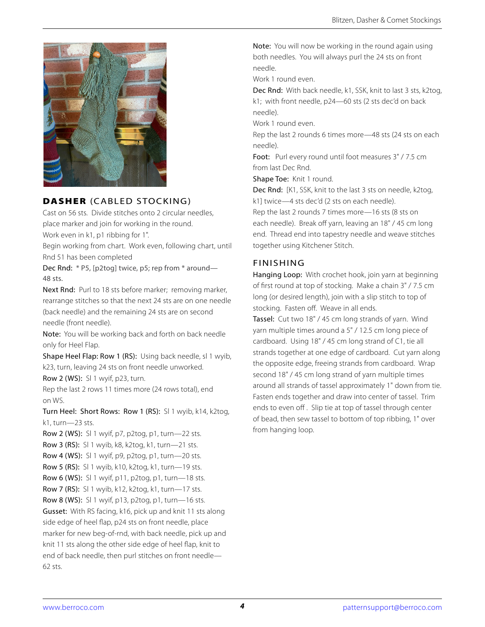

#### DASHER (CABLED STOCKING)

Cast on 56 sts. Divide stitches onto 2 circular needles, place marker and join for working in the round.

Work even in k1, p1 ribbing for 1".

Begin working from chart. Work even, following chart, until Rnd 51 has been completed

Dec Rnd: \* P5, [p2tog] twice, p5; rep from \* around— 48 sts.

Next Rnd: Purl to 18 sts before marker; removing marker, rearrange stitches so that the next 24 sts are on one needle (back needle) and the remaining 24 sts are on second needle (front needle).

Note: You will be working back and forth on back needle only for Heel Flap.

Shape Heel Flap: Row 1 (RS): Using back needle, sl 1 wyib, k23, turn, leaving 24 sts on front needle unworked.

Row 2 (WS): Sl 1 wyif, p23, turn.

Rep the last 2 rows 11 times more (24 rows total), end on WS.

Turn Heel: Short Rows: Row 1 (RS): Sl 1 wyib, k14, k2tog, k1, turn—23 sts.

Row 2 (WS): Sl 1 wyif, p7, p2tog, p1, turn—22 sts. Row 3 (RS): Sl 1 wyib, k8, k2tog, k1, turn—21 sts. Row 4 (WS): Sl 1 wyif, p9, p2tog, p1, turn—20 sts. Row 5 (RS): Sl 1 wyib, k10, k2tog, k1, turn—19 sts. Row 6 (WS): Sl 1 wyif, p11, p2tog, p1, turn—18 sts. Row 7 (RS): Sl 1 wyib, k12, k2tog, k1, turn—17 sts. Row 8 (WS): Sl 1 wyif, p13, p2tog, p1, turn—16 sts. Gusset: With RS facing, k16, pick up and knit 11 sts along side edge of heel flap, p24 sts on front needle, place marker for new beg-of-rnd, with back needle, pick up and knit 11 sts along the other side edge of heel flap, knit to end of back needle, then purl stitches on front needle— 62 sts.

Note: You will now be working in the round again using both needles. You will always purl the 24 sts on front needle.

Work 1 round even.

Dec Rnd: With back needle, k1, SSK, knit to last 3 sts, k2tog, k1; with front needle, p24—60 sts (2 sts dec'd on back needle).

Work 1 round even.

Rep the last 2 rounds 6 times more—48 sts (24 sts on each needle).

Foot: Purl every round until foot measures 3" / 7.5 cm from last Dec Rnd.

Shape Toe: Knit 1 round.

Dec Rnd: [K1, SSK, knit to the last 3 sts on needle, k2tog, k1] twice—4 sts dec'd (2 sts on each needle).

Rep the last 2 rounds 7 times more—16 sts (8 sts on each needle). Break off yarn, leaving an 18" / 45 cm long end. Thread end into tapestry needle and weave stitches together using Kitchener Stitch.

#### FINISHING

Hanging Loop: With crochet hook, join yarn at beginning of first round at top of stocking. Make a chain 3" / 7.5 cm long (or desired length), join with a slip stitch to top of stocking. Fasten off. Weave in all ends.

Tassel: Cut two 18" / 45 cm long strands of yarn. Wind yarn multiple times around a 5" / 12.5 cm long piece of cardboard. Using 18" / 45 cm long strand of C1, tie all strands together at one edge of cardboard. Cut yarn along the opposite edge, freeing strands from cardboard. Wrap second 18" / 45 cm long strand of yarn multiple times around all strands of tassel approximately 1" down from tie. Fasten ends together and draw into center of tassel. Trim ends to even off. Slip tie at top of tassel through center of bead, then sew tassel to bottom of top ribbing, 1" over from hanging loop.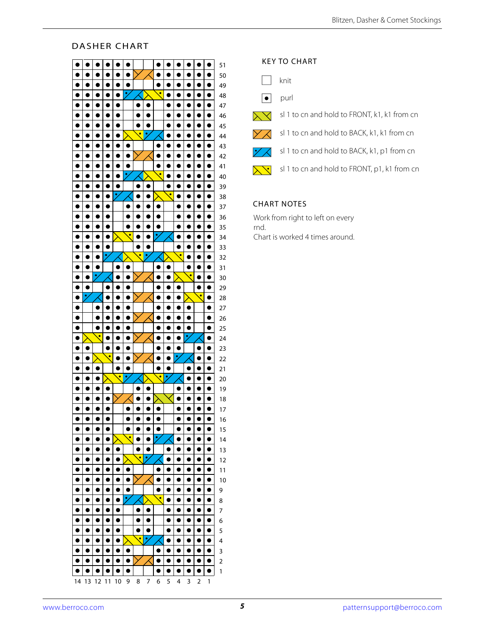## DASHER CHART DASHER CHART



#### KEY TO CHART

- knit
- $\bullet$ purl
- sl 1 to cn and hold to FRONT, k1, k1 from cn  $\prec$
- sl 1 to cn and hold to BACK, k1, k1 from cn  $\mathsf{Y} \mathsf{X}$ 
	- sl 1 to cn and hold to BACK, k1, p1 from cn
- sl 1 to cn and hold to FRONT, p1, k1 from cn  $\geq$

#### CHART NOTES

Work from right to left on every rnd. Chart is worked 4 times around.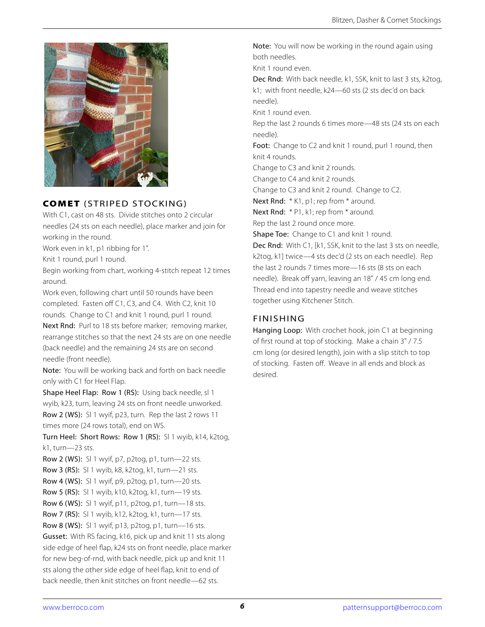

#### COMET (STRIPED STOCKING)

With C1, cast on 48 sts. Divide stitches onto 2 circular needles (24 sts on each needle), place marker and join for working in the round.

Work even in k1, p1 ribbing for 1".

Knit 1 round, purl 1 round.

Begin working from chart, working 4-stitch repeat 12 times around.

Work even, following chart until 50 rounds have been completed. Fasten off C1, C3, and C4. With C2, knit 10 rounds. Change to C1 and knit 1 round, purl 1 round. Next Rnd: Purl to 18 sts before marker; removing marker, rearrange stitches so that the next 24 sts are on one needle (back needle) and the remaining 24 sts are on second needle (front needle).

Note: You will be working back and forth on back needle only with C1 for Heel Flap.

Shape Heel Flap: Row 1 (RS): Using back needle, sl 1 wyib, k23, turn, leaving 24 sts on front needle unworked. Row 2 (WS): Sl 1 wyif, p23, turn. Rep the last 2 rows 11 times more (24 rows total), end on WS.

Turn Heel: Short Rows: Row 1 (RS): Sl 1 wyib, k14, k2tog, k1, turn—23 sts.

Row 2 (WS): Sl 1 wyif, p7, p2tog, p1, turn—22 sts. Row 3 (RS): Sl 1 wyib, k8, k2tog, k1, turn—21 sts. Row 4 (WS): Sl 1 wyif, p9, p2tog, p1, turn—20 sts. Row 5 (RS): Sl 1 wyib, k10, k2tog, k1, turn—19 sts. Row 6 (WS): Sl 1 wyif, p11, p2tog, p1, turn—18 sts. Row 7 (RS): Sl 1 wyib, k12, k2tog, k1, turn—17 sts. Row 8 (WS): Sl 1 wyif, p13, p2tog, p1, turn—16 sts. Gusset: With RS facing, k16, pick up and knit 11 sts along side edge of heel flap, k24 sts on front needle, place marker for new beg-of-rnd, with back needle, pick up and knit 11 sts along the other side edge of heel flap, knit to end of back needle, then knit stitches on front needle—62 sts.

Note: You will now be working in the round again using both needles.

Knit 1 round even.

Dec Rnd: With back needle, k1, SSK, knit to last 3 sts, k2tog, k1; with front needle, k24—60 sts (2 sts dec'd on back needle).

Knit 1 round even.

Rep the last 2 rounds 6 times more—48 sts (24 sts on each needle).

Foot: Change to C2 and knit 1 round, purl 1 round, then knit 4 rounds.

Change to C3 and knit 2 rounds.

Change to C4 and knit 2 rounds.

Change to C3 and knit 2 round. Change to C2.

Next Rnd: \* K1, p1; rep from \* around.

Next Rnd: \* P1, k1; rep from \* around.

Rep the last 2 round once more.

Shape Toe: Change to C1 and knit 1 round.

Dec Rnd: With C1, [k1, SSK, knit to the last 3 sts on needle, k2tog, k1] twice—4 sts dec'd (2 sts on each needle). Rep the last 2 rounds 7 times more—16 sts (8 sts on each needle). Break off yarn, leaving an 18" / 45 cm long end. Thread end into tapestry needle and weave stitches together using Kitchener Stitch.

#### FINISHING

Hanging Loop: With crochet hook, join C1 at beginning of first round at top of stocking. Make a chain 3" / 7.5 cm long (or desired length), join with a slip stitch to top of stocking. Fasten off. Weave in all ends and block as desired.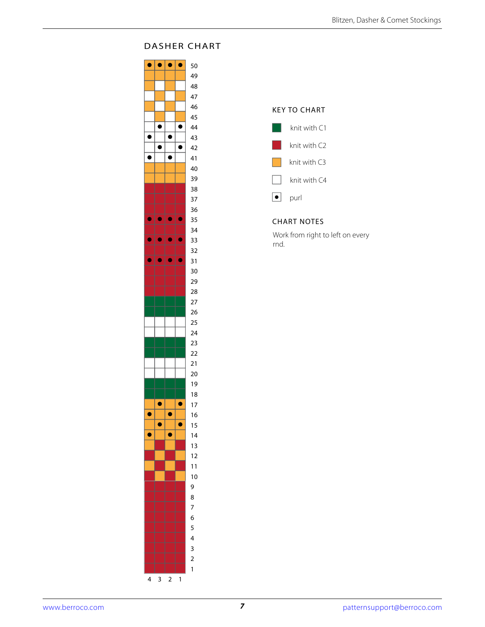#### DASHER CHART





#### CHART NOTES

Work from right to left on every rnd.